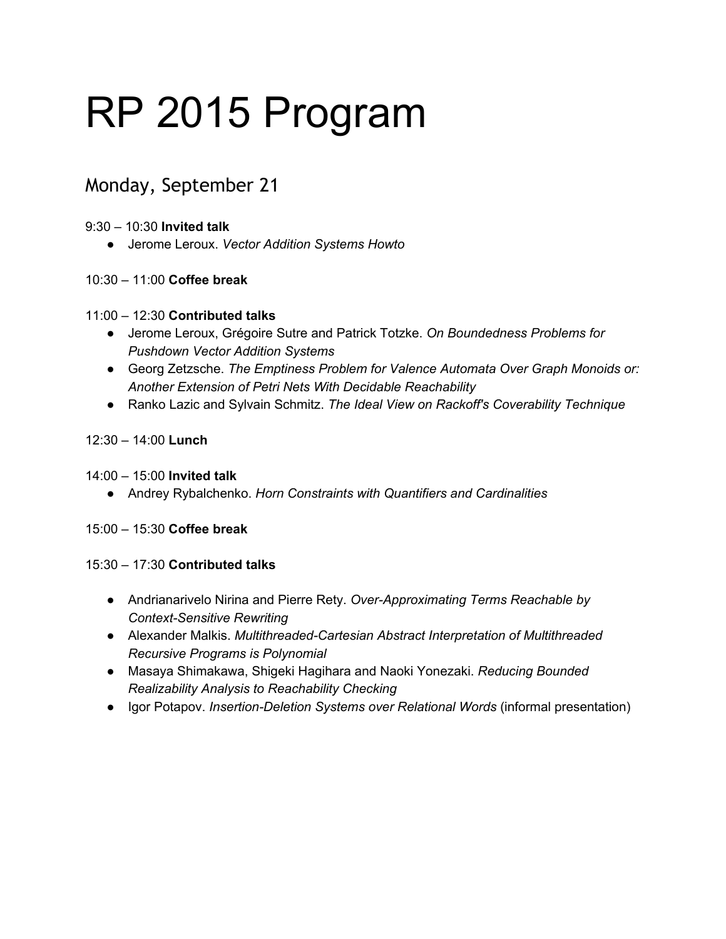# RP 2015 Program

# Monday, September 21

#### 9:30 – 10:30 **Invited talk**

● Jerome Leroux. *Vector Addition Systems Howto*

## 10:30 – 11:00 **Coffee break**

#### 11:00 – 12:30 **Contributed talks**

- Jerome Leroux, Grégoire Sutre and Patrick Totzke. *On Boundedness Problems for Pushdown Vector Addition Systems*
- Georg Zetzsche. *The Emptiness Problem for Valence Automata Over Graph Monoids or: Another Extension of Petri Nets With Decidable Reachability*
- Ranko Lazic and Sylvain Schmitz. *The Ideal View on Rackoff's Coverability Technique*

#### 12:30 – 14:00 **Lunch**

#### 14:00 – 15:00 **Invited talk**

● Andrey Rybalchenko. *Horn Constraints with Quantifiers and Cardinalities*

#### 15:00 – 15:30 **Coffee break**

#### 15:30 – 17:30 **Contributed talks**

- Andrianarivelo Nirina and Pierre Rety. *OverApproximating Terms Reachable by Context-Sensitive Rewriting*
- **•** Alexander Malkis. *Multithreaded-Cartesian Abstract Interpretation of Multithreaded Recursive Programs is Polynomial*
- Masaya Shimakawa, Shigeki Hagihara and Naoki Yonezaki. *Reducing Bounded Realizability Analysis to Reachability Checking*
- **•** Igor Potapov. *Insertion-Deletion Systems over Relational Words* (informal presentation)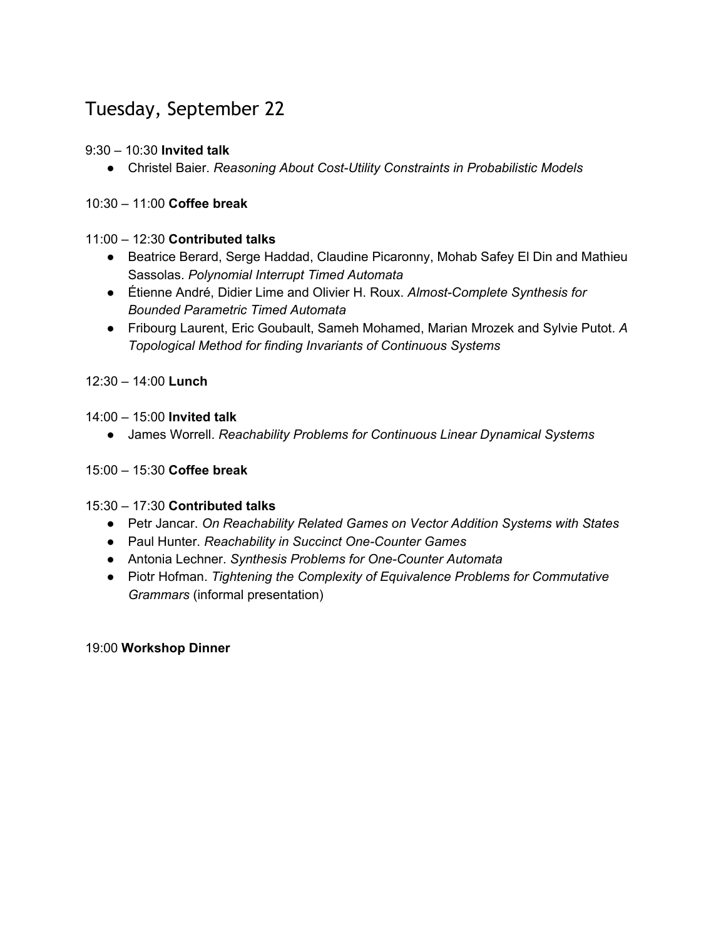# Tuesday, September 22

# 9:30 – 10:30 **Invited talk**

● Christel Baier. *Reasoning About CostUtility Constraints in Probabilistic Models*

## 10:30 – 11:00 **Coffee break**

#### 11:00 – 12:30 **Contributed talks**

- Beatrice Berard, Serge Haddad, Claudine Picaronny, Mohab Safey El Din and Mathieu Sassolas. *Polynomial Interrupt Timed Automata*
- Étienne André, Didier Lime and Olivier H. Roux. Almost-Complete Synthesis for *Bounded Parametric Timed Automata*
- Fribourg Laurent, Eric Goubault, Sameh Mohamed, Marian Mrozek and Sylvie Putot. *A Topological Method for finding Invariants of Continuous Systems*

12:30 – 14:00 **Lunch**

14:00 – 15:00 **Invited talk**

● James Worrell. *Reachability Problems for Continuous Linear Dynamical Systems*

# 15:00 – 15:30 **Coffee break**

#### 15:30 – 17:30 **Contributed talks**

- Petr Jancar. *On Reachability Related Games on Vector Addition Systems with States*
- Paul Hunter. *Reachability in Succinct OneCounter Games*
- Antonia Lechner. *Synthesis Problems for OneCounter Automata*
- Piotr Hofman. *Tightening the Complexity of Equivalence Problems for Commutative Grammars* (informal presentation)

#### 19:00 **Workshop Dinner**